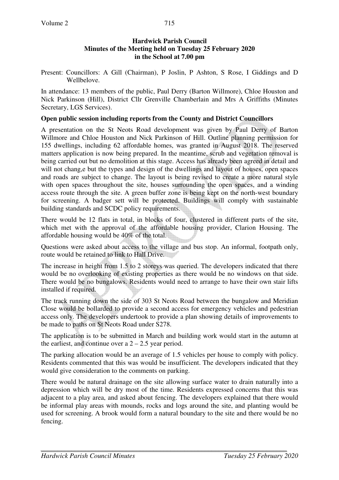Present: Councillors: A Gill (Chairman), P Joslin, P Ashton, S Rose, I Giddings and D Wellbelove.

In attendance: 13 members of the public, Paul Derry (Barton Willmore), Chloe Houston and Nick Parkinson (Hill), District Cllr Grenville Chamberlain and Mrs A Griffiths (Minutes Secretary, LGS Services).

# **Open public session including reports from the County and District Councillors**

A presentation on the St Neots Road development was given by Paul Derry of Barton Willmore and Chloe Houston and Nick Parkinson of Hill. Outline planning permission for 155 dwellings, including 62 affordable homes, was granted in August 2018. The reserved matters application is now being prepared. In the meantime, scrub and vegetation removal is being carried out but no demolition at this stage. Access has already been agreed in detail and will not chang, e but the types and design of the dwellings and layout of houses, open spaces and roads are subject to change. The layout is being revised to create a more natural style with open spaces throughout the site, houses surrounding the open spaces, and a winding access route through the site. A green buffer zone is being kept on the north-west boundary for screening. A badger sett will be protected. Buildings will comply with sustainable building standards and SCDC policy requirements.

There would be 12 flats in total, in blocks of four, clustered in different parts of the site, which met with the approval of the affordable housing provider, Clarion Housing. The affordable housing would be 40% of the total.

Questions were asked about access to the village and bus stop. An informal, footpath only, route would be retained to link to Hall Drive.

The increase in height from 1.5 to 2 storeys was queried. The developers indicated that there would be no overlooking of existing properties as there would be no windows on that side. There would be no bungalows. Residents would need to arrange to have their own stair lifts installed if required.

The track running down the side of 303 St Neots Road between the bungalow and Meridian Close would be bollarded to provide a second access for emergency vehicles and pedestrian access only. The developers undertook to provide a plan showing details of improvements to be made to paths on St Neots Road under S278.

The application is to be submitted in March and building work would start in the autumn at the earliest, and continue over a  $2 - 2.5$  year period.

The parking allocation would be an average of 1.5 vehicles per house to comply with policy. Residents commented that this was would be insufficient. The developers indicated that they would give consideration to the comments on parking.

There would be natural drainage on the site allowing surface water to drain naturally into a depression which will be dry most of the time. Residents expressed concerns that this was adjacent to a play area, and asked about fencing. The developers explained that there would be informal play areas with mounds, rocks and logs around the site, and planting would be used for screening. A brook would form a natural boundary to the site and there would be no fencing.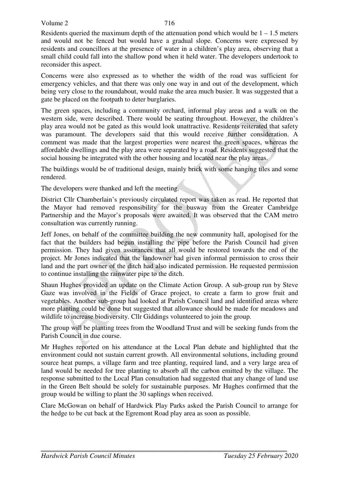#### Volume 2

Residents queried the maximum depth of the attenuation pond which would be  $1 - 1.5$  meters and would not be fenced but would have a gradual slope. Concerns were expressed by residents and councillors at the presence of water in a children's play area, observing that a small child could fall into the shallow pond when it held water. The developers undertook to reconsider this aspect.

Concerns were also expressed as to whether the width of the road was sufficient for emergency vehicles, and that there was only one way in and out of the development, which being very close to the roundabout, would make the area much busier. It was suggested that a gate be placed on the footpath to deter burglaries.

The green spaces, including a community orchard, informal play areas and a walk on the western side, were described. There would be seating throughout. However, the children's play area would not be gated as this would look unattractive. Residents reiterated that safety was paramount. The developers said that this would receive further consideration. A comment was made that the largest properties were nearest the green spaces, whereas the affordable dwellings and the play area were separated by a road. Residents suggested that the social housing be integrated with the other housing and located near the play areas.

The buildings would be of traditional design, mainly brick with some hanging tiles and some rendered.

The developers were thanked and left the meeting.

District Cllr Chamberlain's previously circulated report was taken as read. He reported that the Mayor had removed responsibility for the busway from the Greater Cambridge Partnership and the Mayor's proposals were awaited. It was observed that the CAM metro consultation was currently running.

Jeff Jones, on behalf of the committee building the new community hall, apologised for the fact that the builders had begun installing the pipe before the Parish Council had given permission. They had given assurances that all would be restored towards the end of the project. Mr Jones indicated that the landowner had given informal permission to cross their land and the part owner of the ditch had also indicated permission. He requested permission to continue installing the rainwater pipe to the ditch.

Shaun Hughes provided an update on the Climate Action Group. A sub-group run by Steve Gaze was involved in the Fields of Grace project, to create a farm to grow fruit and vegetables. Another sub-group had looked at Parish Council land and identified areas where more planting could be done but suggested that allowance should be made for meadows and wildlife to increase biodiversity. Cllr Giddings volunteered to join the group.

The group will be planting trees from the Woodland Trust and will be seeking funds from the Parish Council in due course.

Mr Hughes reported on his attendance at the Local Plan debate and highlighted that the environment could not sustain current growth. All environmental solutions, including ground source heat pumps, a village farm and tree planting, required land, and a very large area of land would be needed for tree planting to absorb all the carbon emitted by the village. The response submitted to the Local Plan consultation had suggested that any change of land use in the Green Belt should be solely for sustainable purposes. Mr Hughes confirmed that the group would be willing to plant the 30 saplings when received.

Clare McGowan on behalf of Hardwick Play Parks asked the Parish Council to arrange for the hedge to be cut back at the Egremont Road play area as soon as possible.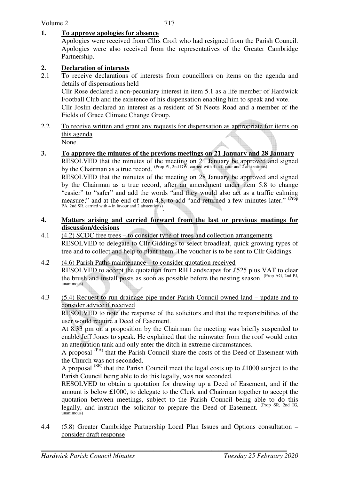## **1. To approve apologies for absence**

Apologies were received from Cllrs Croft who had resigned from the Parish Council. Apologies were also received from the representatives of the Greater Cambridge Partnership.

# **2. Declaration of interests**<br>2.1 To receive declarations

2.1 To receive declarations of interests from councillors on items on the agenda and details of dispensations held

Cllr Rose declared a non-pecuniary interest in item 5.1 as a life member of Hardwick Football Club and the existence of his dispensation enabling him to speak and vote. Cllr Joslin declared an interest as a resident of St Neots Road and a member of the Fields of Grace Climate Change Group.

2.2 To receive written and grant any requests for dispensation as appropriate for items on this agenda

None.

# **3. To approve the minutes of the previous meetings on 21 January and 28 January**

 RESOLVED that the minutes of the meeting on 21 January be approved and signed by the Chairman as a true record. (Prop PJ, 2nd DW, carried with 4 in favour and 2 abstentions)

RESOLVED that the minutes of the meeting on 28 January be approved and signed by the Chairman as a true record, after an amendment under item 5.8 to change "easier" to "safer" and add the words "and they would also act as a traffic calming measure;" and at the end of item 4.8, to add "and returned a few minutes later." <sup>(Prop</sup> PA, 2nd SR, carried with 4 in favour and 2 abstentions).

#### **4. Matters arising and carried forward from the last or previous meetings for discussion/decisions**

- 4.1 (4.2) SCDC free trees to consider type of trees and collection arrangements RESOLVED to delegate to Cllr Giddings to select broadleaf, quick growing types of tree and to collect and help to plant them. The voucher is to be sent to Cllr Giddings.
- 4.2 (4.6) Parish Paths maintenance to consider quotation received RESOLVED to accept the quotation from RH Landscapes for £525 plus VAT to clear the brush and install posts as soon as possible before the nesting season. (Prop AG, 2nd PJ, unanimous)
- 4.3 (5.4) Request to run drainage pipe under Parish Council owned land update and to consider advice if received

RESOLVED to note the response of the solicitors and that the responsibilities of the user would require a Deed of Easement.

At 8.33 pm on a proposition by the Chairman the meeting was briefly suspended to enable Jeff Jones to speak. He explained that the rainwater from the roof would enter an attenuation tank and only enter the ditch in extreme circumstances.

A proposal (PA) that the Parish Council share the costs of the Deed of Easement with the Church was not seconded.

A proposal  $(SR)$  that the Parish Council meet the legal costs up to £1000 subject to the Parish Council being able to do this legally, was not seconded.

RESOLVED to obtain a quotation for drawing up a Deed of Easement, and if the amount is below £1000, to delegate to the Clerk and Chairman together to accept the quotation between meetings, subject to the Parish Council being able to do this legally, and instruct the solicitor to prepare the Deed of Easement. (Prop SR, 2nd IG, unanimous)

4.4 (5.8) Greater Cambridge Partnership Local Plan Issues and Options consultation – consider draft response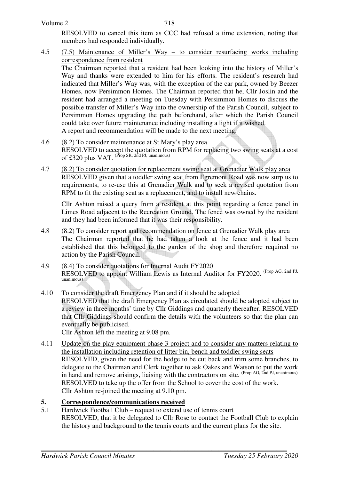| Volume 2 | 718                                                                           |  |
|----------|-------------------------------------------------------------------------------|--|
|          | RESOLVED to cancel this item as CCC had refused a time extension, noting that |  |

members had responded individually.

4.5 (7.5) Maintenance of Miller's Way – to consider resurfacing works including correspondence from resident The Chairman reported that a resident had been looking into the history of Miller's Way and thanks were extended to him for his efforts. The resident's research had indicated that Miller's Way was, with the exception of the car park, owned by Beezer Homes, now Persimmon Homes. The Chairman reported that he, Cllr Joslin and the resident had arranged a meeting on Tuesday with Persimmon Homes to discuss the possible transfer of Miller's Way into the ownership of the Parish Council, subject to Persimmon Homes upgrading the path beforehand, after which the Parish Council could take over future maintenance including installing a light if it wished. A report and recommendation will be made to the next meeting.

- 4.6 (8.2) To consider maintenance at St Mary's play area RESOLVED to accept the quotation from RPM for replacing two swing seats at a cost of £320 plus VAT.  $^{(Prop SR, 2nd PI, unanimous)}$
- 4.7 (8.2) To consider quotation for replacement swing seat at Grenadier Walk play area RESOLVED given that a toddler swing seat from Egremont Road was now surplus to requirements, to re-use this at Grenadier Walk and to seek a revised quotation from RPM to fit the existing seat as a replacement, and to install new chains.

 Cllr Ashton raised a query from a resident at this point regarding a fence panel in Limes Road adjacent to the Recreation Ground. The fence was owned by the resident and they had been informed that it was their responsibility.

- 4.8 (8.2) To consider report and recommendation on fence at Grenadier Walk play area The Chairman reported that he had taken a look at the fence and it had been established that this belonged to the garden of the shop and therefore required no action by the Parish Council.
- 4.9 (8.4) To consider quotations for Internal Audit FY2020 RESOLVED to appoint William Lewis as Internal Auditor for FY2020. (Prop AG, 2nd PJ, unanimous)
- 4.10 To consider the draft Emergency Plan and if it should be adopted RESOLVED that the draft Emergency Plan as circulated should be adopted subject to a review in three months' time by Cllr Giddings and quarterly thereafter. RESOLVED that Cllr Giddings should confirm the details with the volunteers so that the plan can eventually be publicised. Cllr Ashton left the meeting at 9.08 pm.

4.11 Update on the play equipment phase 3 project and to consider any matters relating to the installation including retention of litter bin, bench and toddler swing seats RESOLVED, given the need for the hedge to be cut back and trim some branches, to delegate to the Chairman and Clerk together to ask Oakes and Watson to put the work in hand and remove arisings, liaising with the contractors on site. (Prop AG, 2nd PJ, unanimous) RESOLVED to take up the offer from the School to cover the cost of the work. Cllr Ashton re-joined the meeting at 9.10 pm.

## **5. Correspondence/communications received**

5.1 Hardwick Football Club – request to extend use of tennis court RESOLVED, that it be delegated to Cllr Rose to contact the Football Club to explain the history and background to the tennis courts and the current plans for the site.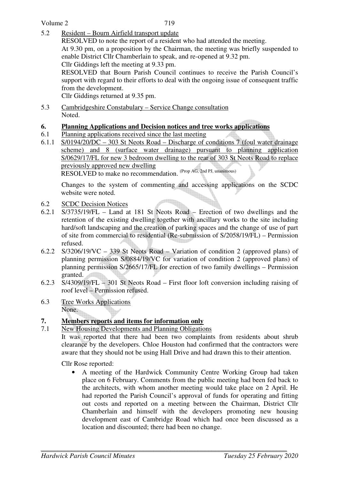5.2 Resident – Bourn Airfield transport update

RESOLVED to note the report of a resident who had attended the meeting. At 9.30 pm, on a proposition by the Chairman, the meeting was briefly suspended to enable District Cllr Chamberlain to speak, and re-opened at 9.32 pm.

Cllr Giddings left the meeting at 9.33 pm. RESOLVED that Bourn Parish Council continues to receive the Parish Council's

support with regard to their efforts to deal with the ongoing issue of consequent traffic from the development.

Cllr Giddings returned at 9.35 pm.

5.3 Cambridgeshire Constabulary – Service Change consultation Noted.

### **6. Planning Applications and Decision notices and tree works applications**

- 6.1 Planning applications received since the last meeting
- 6.1.1 S/0194/20/DC 303 St Neots Road Discharge of conditions 7 (foul water drainage scheme) and 8 (surface water drainage) pursuant to planning application S/0629/17/FL for new 3 bedroom dwelling to the rear of 303 St Neots Road to replace previously approved new dwelling

RESOLVED to make no recommendation. (Prop AG, 2nd PJ, unanimous)

Changes to the system of commenting and accessing applications on the SCDC website were noted.

- 6.2 SCDC Decision Notices
- 6.2.1 S/3735/19/FL Land at 181 St Neots Road Erection of two dwellings and the retention of the existing dwelling together with ancillary works to the site including hard/soft landscaping and the creation of parking spaces and the change of use of part of site from commercial to residential (Re-submission of S/2058/19/FL) – Permission refused.
- 6.2.2 S/3206/19/VC 339 St Neots Road Variation of condition 2 (approved plans) of planning permission S/0884/19/VC for variation of condition 2 (approved plans) of planning permission S/2665/17/FL for erection of two family dwellings – Permission granted.
- 6.2.3 S/4309/19/FL 301 St Neots Road First floor loft conversion including raising of roof level – Permission refused.
- 6.3 Tree Works Applications None.

# **7. Members reports and items for information only**

7.1 New Housing Developments and Planning Obligations It was reported that there had been two complaints from residents about shrub clearance by the developers. Chloe Houston had confirmed that the contractors were aware that they should not be using Hall Drive and had drawn this to their attention.

Cllr Rose reported:

• A meeting of the Hardwick Community Centre Working Group had taken place on 6 February. Comments from the public meeting had been fed back to the architects, with whom another meeting would take place on 2 April. He had reported the Parish Council's approval of funds for operating and fitting out costs and reported on a meeting between the Chairman, District Cllr Chamberlain and himself with the developers promoting new housing development east of Cambridge Road which had once been discussed as a location and discounted; there had been no change.